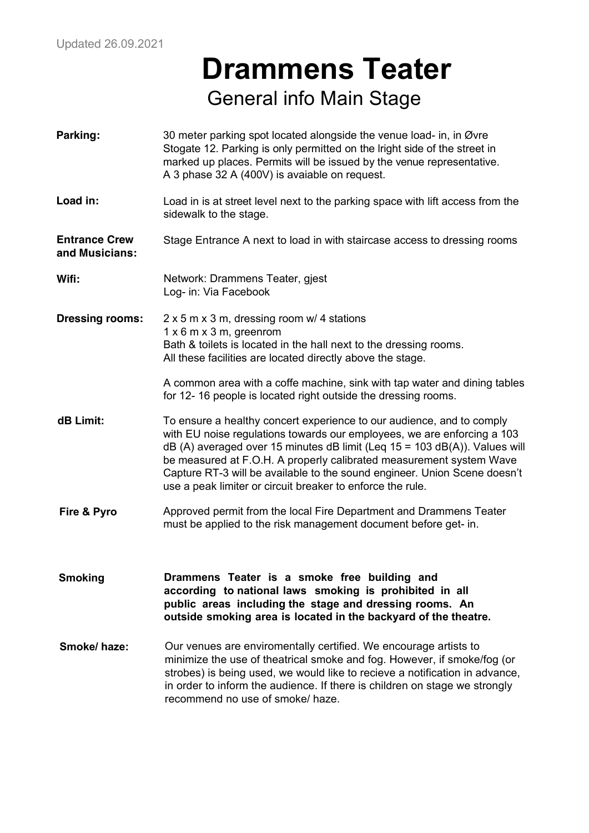### **Drammens Teater** General info Main Stage

| Parking:                               | 30 meter parking spot located alongside the venue load- in, in Øvre<br>Stogate 12. Parking is only permitted on the Iright side of the street in<br>marked up places. Permits will be issued by the venue representative.<br>A 3 phase 32 A (400V) is avaiable on request.                                                                                                                                                                       |
|----------------------------------------|--------------------------------------------------------------------------------------------------------------------------------------------------------------------------------------------------------------------------------------------------------------------------------------------------------------------------------------------------------------------------------------------------------------------------------------------------|
| Load in:                               | Load in is at street level next to the parking space with lift access from the<br>sidewalk to the stage.                                                                                                                                                                                                                                                                                                                                         |
| <b>Entrance Crew</b><br>and Musicians: | Stage Entrance A next to load in with staircase access to dressing rooms                                                                                                                                                                                                                                                                                                                                                                         |
| Wifi:                                  | Network: Drammens Teater, gjest<br>Log- in: Via Facebook                                                                                                                                                                                                                                                                                                                                                                                         |
| <b>Dressing rooms:</b>                 | 2 x 5 m x 3 m, dressing room w/ 4 stations<br>$1 \times 6$ m $\times 3$ m, greenrom<br>Bath & toilets is located in the hall next to the dressing rooms.<br>All these facilities are located directly above the stage.                                                                                                                                                                                                                           |
|                                        | A common area with a coffe machine, sink with tap water and dining tables<br>for 12-16 people is located right outside the dressing rooms.                                                                                                                                                                                                                                                                                                       |
| dB Limit:                              | To ensure a healthy concert experience to our audience, and to comply<br>with EU noise regulations towards our employees, we are enforcing a 103<br>dB (A) averaged over 15 minutes dB limit (Leq 15 = 103 dB(A)). Values will<br>be measured at F.O.H. A properly calibrated measurement system Wave<br>Capture RT-3 will be available to the sound engineer. Union Scene doesn't<br>use a peak limiter or circuit breaker to enforce the rule. |
| Fire & Pyro                            | Approved permit from the local Fire Department and Drammens Teater<br>must be applied to the risk management document before get- in.                                                                                                                                                                                                                                                                                                            |
| <b>Smoking</b>                         | Drammens Teater is a smoke free building and<br>according to national laws smoking is prohibited in all<br>public areas including the stage and dressing rooms. An<br>outside smoking area is located in the backyard of the theatre.                                                                                                                                                                                                            |
| Smoke/haze:                            | Our venues are enviromentally certified. We encourage artists to<br>minimize the use of theatrical smoke and fog. However, if smoke/fog (or<br>strobes) is being used, we would like to recieve a notification in advance,<br>in order to inform the audience. If there is children on stage we strongly<br>recommend no use of smoke/haze.                                                                                                      |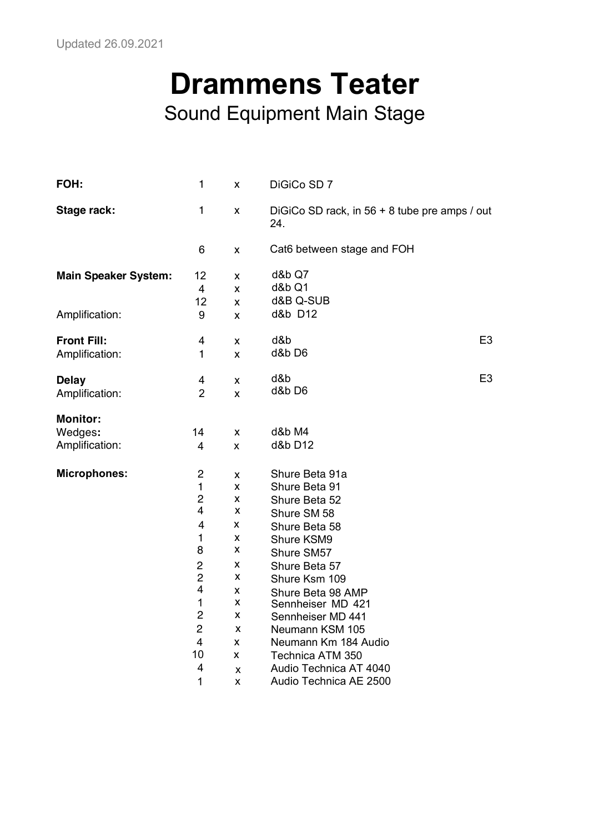## **Drammens Teater** Sound Equipment Main Stage

| FOH:                        | $\mathbf{1}$   | x            | DiGiCo SD 7                                            |                |
|-----------------------------|----------------|--------------|--------------------------------------------------------|----------------|
| Stage rack:                 | $\mathbf{1}$   | X            | DiGiCo SD rack, in $56 + 8$ tube pre amps / out<br>24. |                |
|                             | 6              | X            | Cat6 between stage and FOH                             |                |
| <b>Main Speaker System:</b> | 12             | X            | d&b Q7                                                 |                |
|                             | 4              | X            | d&b Q1                                                 |                |
|                             | 12             | $\mathsf{x}$ | d&B Q-SUB                                              |                |
| Amplification:              | 9              | X            | d&b D12                                                |                |
| <b>Front Fill:</b>          | 4              | X            | d&b                                                    | E <sub>3</sub> |
| Amplification:              | $\mathbf{1}$   | X            | d&b D6                                                 |                |
| <b>Delay</b>                | 4              | X            | d&b                                                    | E <sub>3</sub> |
| Amplification:              | $\overline{2}$ | X            | d&b D6                                                 |                |
| <b>Monitor:</b>             |                |              |                                                        |                |
| Wedges:                     | 14             | X            | d&b M4                                                 |                |
| Amplification:              | 4              | X            | d&b D12                                                |                |
| <b>Microphones:</b>         | $\overline{c}$ | X            | Shure Beta 91a                                         |                |
|                             | $\mathbf{1}$   | X            | Shure Beta 91                                          |                |
|                             | $\overline{c}$ | x            | Shure Beta 52                                          |                |
|                             | 4              | X            | Shure SM 58                                            |                |
|                             | 4              | x            | Shure Beta 58                                          |                |
|                             | 1              | X            | Shure KSM9                                             |                |
|                             | 8              | X            | Shure SM57                                             |                |
|                             | 2              | x            | Shure Beta 57                                          |                |
|                             | $\overline{c}$ | X            | Shure Ksm 109                                          |                |
|                             | 4              | x            | Shure Beta 98 AMP                                      |                |
|                             | $\mathbf{1}$   | X            | Sennheiser MD 421                                      |                |
|                             | $\overline{c}$ | X            | Sennheiser MD 441                                      |                |
|                             | $\overline{2}$ | X            | Neumann KSM 105                                        |                |
|                             | $\overline{4}$ | X            | Neumann Km 184 Audio                                   |                |
|                             | 10             | X            | Technica ATM 350                                       |                |
|                             | 4              | X            | Audio Technica AT 4040                                 |                |
|                             | 1              | X            | Audio Technica AE 2500                                 |                |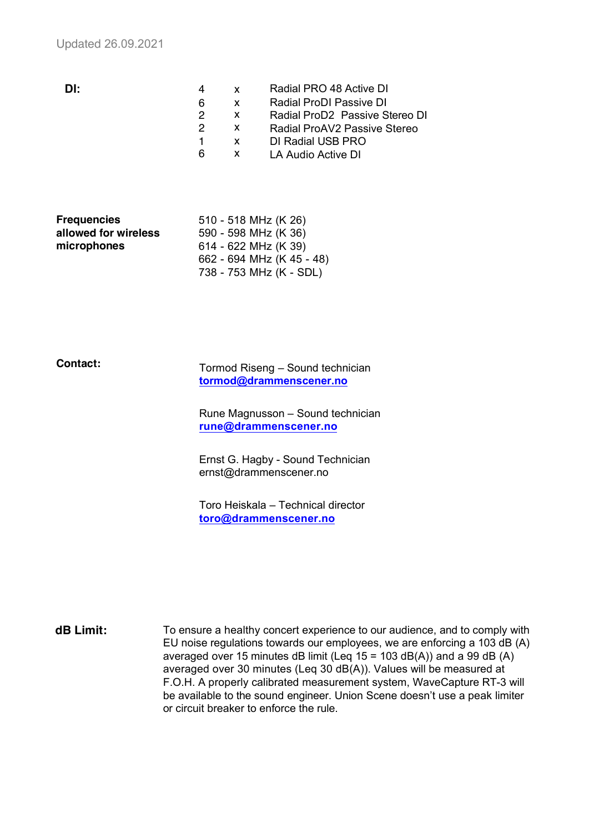| DI: |   | <b>X</b> | Radial PRO 48 Active DI                    |
|-----|---|----------|--------------------------------------------|
|     | 6 | X        | Radial ProDI Passive DI                    |
|     | 2 | X.       | Radial ProD <sub>2</sub> Passive Stereo DI |
|     |   | X.       | Radial ProAV2 Passive Stereo               |
|     |   |          | DI Radial USB PRO                          |
|     | 6 | X        | LA Audio Active DI                         |
|     |   |          |                                            |

| <b>Frequencies</b>   | 510 - 518 MHz (K 26)      |
|----------------------|---------------------------|
| allowed for wireless | 590 - 598 MHz (K 36)      |
| microphones          | 614 - 622 MHz (K 39)      |
|                      | 662 - 694 MHz (K 45 - 48) |
|                      | 738 - 753 MHz (K - SDL)   |

#### **Contact:**

Tormod Riseng – Sound technician **tormod@drammenscener.no**

Rune Magnusson – Sound technician **rune@drammenscener.no**

Ernst G. Hagby - Sound Technician ernst@drammenscener.no

Toro Heiskala – Technical director **toro@drammenscener.no**

**dB Limit:** To ensure a healthy concert experience to our audience, and to comply with EU noise regulations towards our employees, we are enforcing a 103 dB (A) averaged over 15 minutes dB limit (Leq 15 = 103 dB(A)) and a 99 dB (A) averaged over 30 minutes (Leq 30 dB(A)). Values will be measured at F.O.H. A properly calibrated measurement system, WaveCapture RT-3 will be available to the sound engineer. Union Scene doesn't use a peak limiter or circuit breaker to enforce the rule.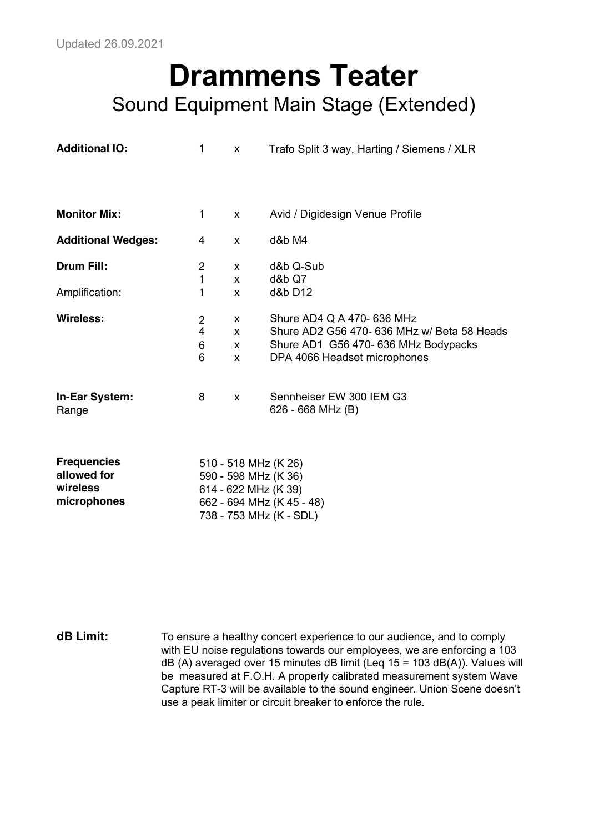**microphones**

#### **Drammens Teater** Sound Equipment Main Stage (Extended)

| <b>Additional IO:</b>                         | 1                                                   | X                 | Trafo Split 3 way, Harting / Siemens / XLR                                                                                                        |
|-----------------------------------------------|-----------------------------------------------------|-------------------|---------------------------------------------------------------------------------------------------------------------------------------------------|
| <b>Monitor Mix:</b>                           | 1                                                   | X                 | Avid / Digidesign Venue Profile                                                                                                                   |
| <b>Additional Wedges:</b>                     | 4                                                   | X                 | d&b M4                                                                                                                                            |
| <b>Drum Fill:</b>                             | 2                                                   | X                 | d&b Q-Sub                                                                                                                                         |
| Amplification:                                | 1<br>1                                              | X<br>X            | d&b Q7<br>d&b D12                                                                                                                                 |
| <b>Wireless:</b>                              | $\overline{2}$<br>$\overline{\mathbf{4}}$<br>6<br>6 | X.<br>X<br>X<br>X | Shure AD4 Q A 470- 636 MHz<br>Shure AD2 G56 470- 636 MHz w/ Beta 58 Heads<br>Shure AD1 G56 470- 636 MHz Bodypacks<br>DPA 4066 Headset microphones |
| In-Ear System:<br>Range                       | 8                                                   | X                 | Sennheiser EW 300 IEM G3<br>626 - 668 MHz (B)                                                                                                     |
| <b>Frequencies</b><br>allowed for<br>wireless |                                                     |                   | 510 - 518 MHz (K 26)<br>590 - 598 MHz (K 36)<br>614 - 622 MHz (K 39)                                                                              |

662 - 694 MHz (K 45 - 48) 738 - 753 MHz (K - SDL)

**dB Limit:** To ensure a healthy concert experience to our audience, and to comply with EU noise regulations towards our employees, we are enforcing a 103 dB (A) averaged over 15 minutes dB limit (Leq 15 = 103 dB(A)). Values will be measured at F.O.H. A properly calibrated measurement system Wave Capture RT-3 will be available to the sound engineer. Union Scene doesn't use a peak limiter or circuit breaker to enforce the rule.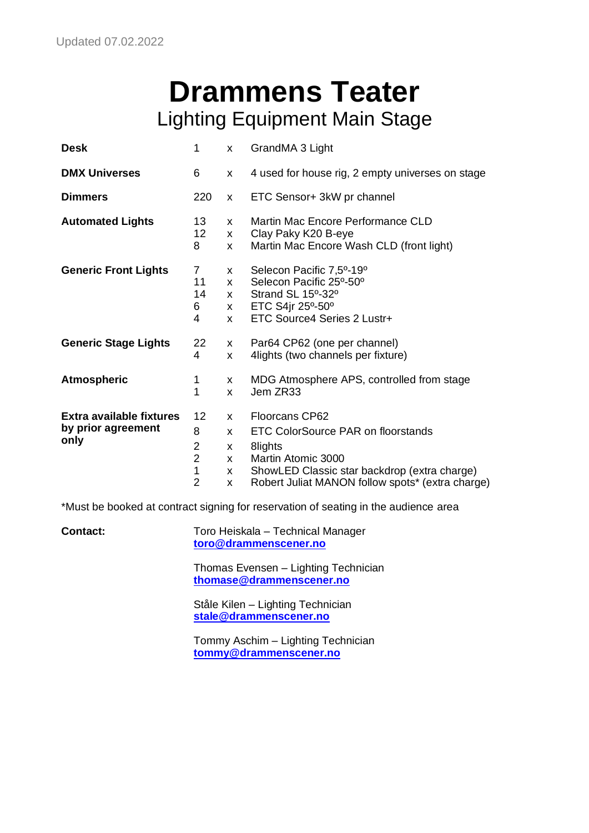## **Drammens Teater** Lighting Equipment Main Stage

| <b>Desk</b>                                                   | 1                                                                  | X                                                            | GrandMA 3 Light                                                                                                                                                                                  |
|---------------------------------------------------------------|--------------------------------------------------------------------|--------------------------------------------------------------|--------------------------------------------------------------------------------------------------------------------------------------------------------------------------------------------------|
| <b>DMX Universes</b>                                          | 6                                                                  | X                                                            | 4 used for house rig, 2 empty universes on stage                                                                                                                                                 |
| <b>Dimmers</b>                                                | 220                                                                | $\mathsf{x}$                                                 | ETC Sensor+ 3kW pr channel                                                                                                                                                                       |
| <b>Automated Lights</b>                                       | 13                                                                 | X                                                            | Martin Mac Encore Performance CLD                                                                                                                                                                |
|                                                               | 12                                                                 | $\mathsf{x}$                                                 | Clay Paky K20 B-eye                                                                                                                                                                              |
|                                                               | 8                                                                  | X                                                            | Martin Mac Encore Wash CLD (front light)                                                                                                                                                         |
| <b>Generic Front Lights</b>                                   | $\overline{7}$                                                     | $\mathsf{X}$                                                 | Selecon Pacific 7,5º-19º                                                                                                                                                                         |
|                                                               | 11                                                                 | $\mathsf{X}$                                                 | Selecon Pacific 25°-50°                                                                                                                                                                          |
|                                                               | 14                                                                 | $\mathsf{X}$                                                 | Strand SL 15°-32°                                                                                                                                                                                |
|                                                               | 6                                                                  | $\mathsf{X}$                                                 | ETC S4jr 25°-50°                                                                                                                                                                                 |
|                                                               | 4                                                                  | $\mathsf{x}$                                                 | ETC Source4 Series 2 Lustr+                                                                                                                                                                      |
| <b>Generic Stage Lights</b>                                   | 22                                                                 | $\mathsf{x}$                                                 | Par64 CP62 (one per channel)                                                                                                                                                                     |
|                                                               | 4                                                                  | X                                                            | 4lights (two channels per fixture)                                                                                                                                                               |
| <b>Atmospheric</b>                                            | 1                                                                  | X                                                            | MDG Atmosphere APS, controlled from stage                                                                                                                                                        |
|                                                               | 1                                                                  | X                                                            | Jem ZR33                                                                                                                                                                                         |
| <b>Extra available fixtures</b><br>by prior agreement<br>only | 12<br>8<br>$\overline{2}$<br>$\overline{2}$<br>1<br>$\overline{2}$ | $\mathsf{x}$<br>$\mathsf{x}$<br>X<br>$\mathsf{x}$<br>X.<br>X | <b>Floorcans CP62</b><br>ETC ColorSource PAR on floorstands<br>8lights<br>Martin Atomic 3000<br>ShowLED Classic star backdrop (extra charge)<br>Robert Juliat MANON follow spots* (extra charge) |

\*Must be booked at contract signing for reservation of seating in the audience area

| <b>Contact:</b> | Toro Heiskala - Technical Manager<br>toro@drammenscener.no       |
|-----------------|------------------------------------------------------------------|
|                 | Thomas Evensen - Lighting Technician<br>thomase@drammenscener.no |
|                 | Ståle Kilen – Lighting Technician<br>stale@drammenscener.no      |
|                 | Tommy Aschim - Lighting Technician<br>tommy@drammenscener.no     |
|                 |                                                                  |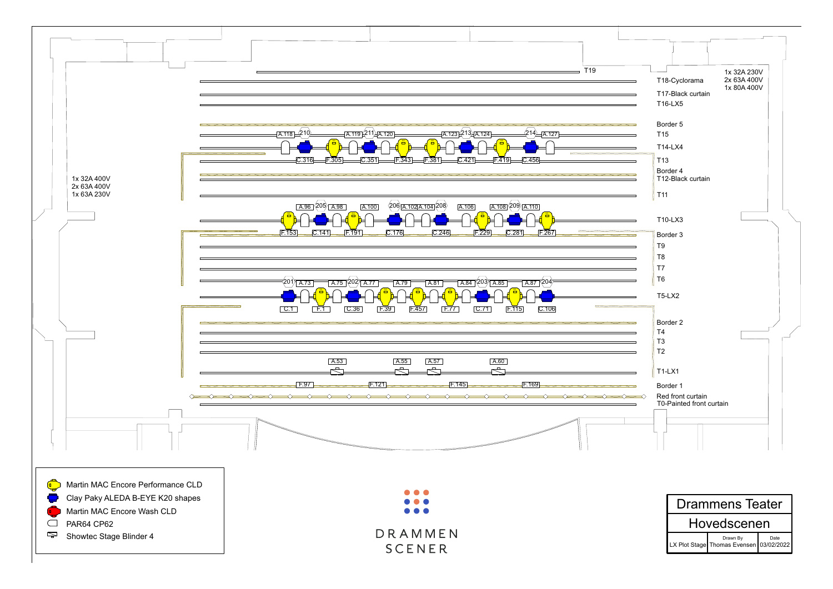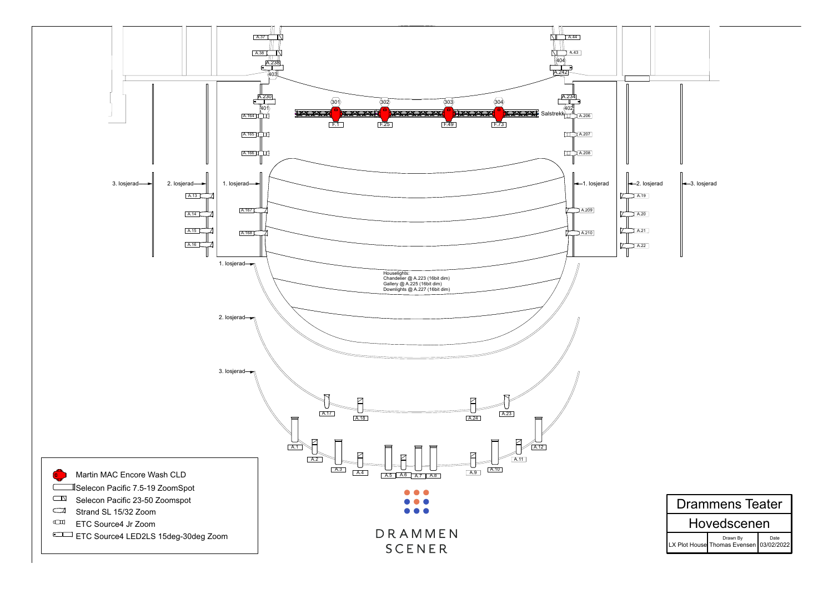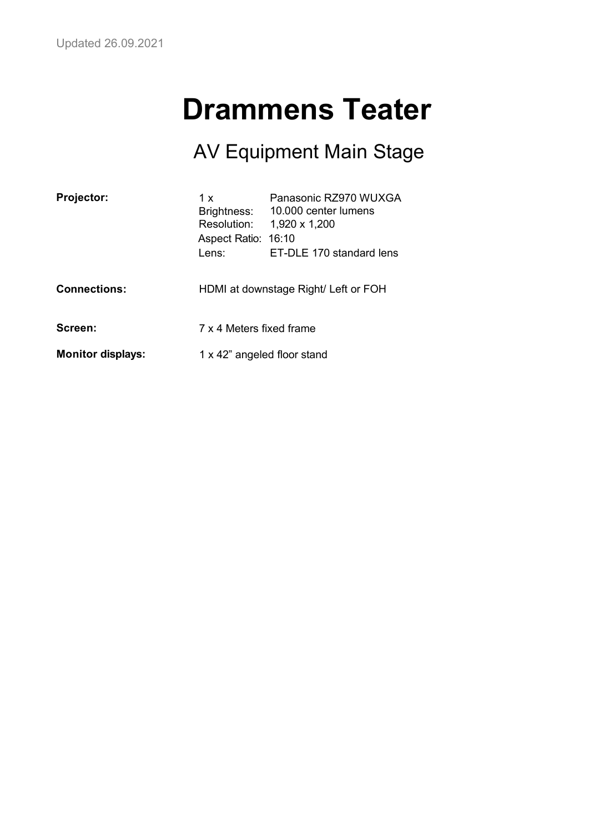# **Drammens Teater**

#### AV Equipment Main Stage

| <b>Projector:</b>        | 1 x<br>Brightness:<br>Resolution:<br>Aspect Ratio: 16:10<br>Lens: | Panasonic RZ970 WUXGA<br>10,000 center lumens<br>1,920 x 1,200<br>ET-DLE 170 standard lens |
|--------------------------|-------------------------------------------------------------------|--------------------------------------------------------------------------------------------|
| <b>Connections:</b>      |                                                                   | HDMI at downstage Right/ Left or FOH                                                       |
| Screen:                  | 7 x 4 Meters fixed frame                                          |                                                                                            |
| <b>Monitor displays:</b> | 1 x 42" angeled floor stand                                       |                                                                                            |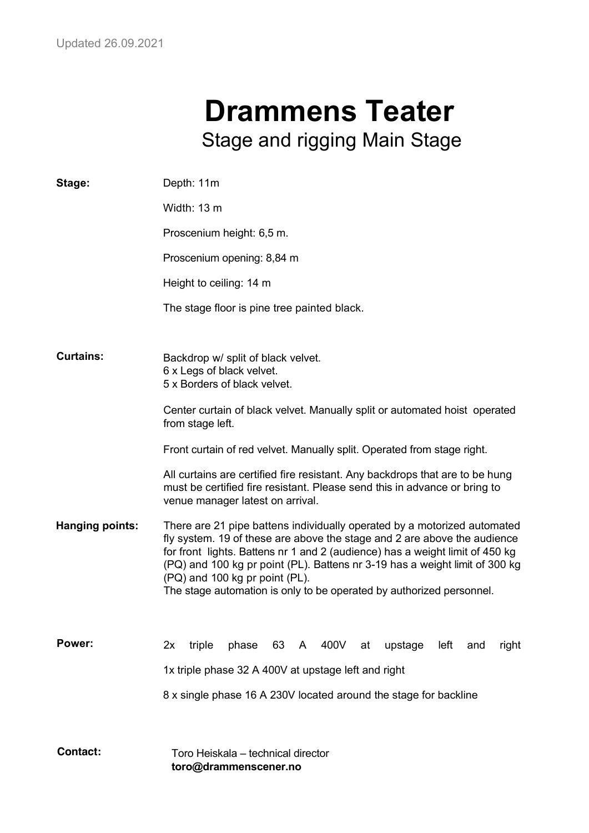## **Drammens Teater** Stage and rigging Main Stage

| Stage:                 | Depth: 11m                                                                                                                                                                                                                                                                                                                                                                                                                    |
|------------------------|-------------------------------------------------------------------------------------------------------------------------------------------------------------------------------------------------------------------------------------------------------------------------------------------------------------------------------------------------------------------------------------------------------------------------------|
|                        | Width: 13 m                                                                                                                                                                                                                                                                                                                                                                                                                   |
|                        | Proscenium height: 6,5 m.                                                                                                                                                                                                                                                                                                                                                                                                     |
|                        | Proscenium opening: 8,84 m                                                                                                                                                                                                                                                                                                                                                                                                    |
|                        | Height to ceiling: 14 m                                                                                                                                                                                                                                                                                                                                                                                                       |
|                        | The stage floor is pine tree painted black.                                                                                                                                                                                                                                                                                                                                                                                   |
|                        |                                                                                                                                                                                                                                                                                                                                                                                                                               |
| <b>Curtains:</b>       | Backdrop w/ split of black velvet.<br>6 x Legs of black velvet.<br>5 x Borders of black velvet.                                                                                                                                                                                                                                                                                                                               |
|                        | Center curtain of black velvet. Manually split or automated hoist operated<br>from stage left.                                                                                                                                                                                                                                                                                                                                |
|                        | Front curtain of red velvet. Manually split. Operated from stage right.                                                                                                                                                                                                                                                                                                                                                       |
|                        | All curtains are certified fire resistant. Any backdrops that are to be hung<br>must be certified fire resistant. Please send this in advance or bring to<br>venue manager latest on arrival.                                                                                                                                                                                                                                 |
| <b>Hanging points:</b> | There are 21 pipe battens individually operated by a motorized automated<br>fly system. 19 of these are above the stage and 2 are above the audience<br>for front lights. Battens nr 1 and 2 (audience) has a weight limit of 450 kg<br>(PQ) and 100 kg pr point (PL). Battens nr 3-19 has a weight limit of 300 kg<br>(PQ) and 100 kg pr point (PL).<br>The stage automation is only to be operated by authorized personnel. |
| Power:                 | 63<br>triple<br>phase<br>400V<br>at<br>upstage<br>left<br>2x<br>A<br>and<br>right                                                                                                                                                                                                                                                                                                                                             |
|                        | 1x triple phase 32 A 400V at upstage left and right                                                                                                                                                                                                                                                                                                                                                                           |
|                        | 8 x single phase 16 A 230V located around the stage for backline                                                                                                                                                                                                                                                                                                                                                              |
| <b>Contact:</b>        | Toro Heiskala – technical director<br>toro@drammenscener.no                                                                                                                                                                                                                                                                                                                                                                   |